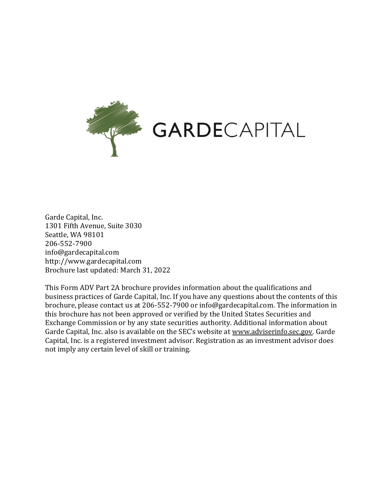

Garde Capital, Inc. 1301 Fifth Avenue, Suite 3030 Seattle, WA 98101 206-552-7900 info@gardecapital.com http://www.gardecapital.com Brochure last updated: March 31, 2022

This Form ADV Part 2A brochure provides information about the qualifications and business practices of Garde Capital, Inc. If you have any questions about the contents of this brochure, please contact us at 206-552-7900 or info@gardecapital.com. The information in this brochure has not been approved or verified by the United States Securities and Exchange Commission or by any state securities authority. Additional information about Garde Capital, Inc. also is available on the SEC's website at www.adviserinfo.sec.gov. Garde Capital, Inc. is a registered investment advisor. Registration as an investment advisor does not imply any certain level of skill or training.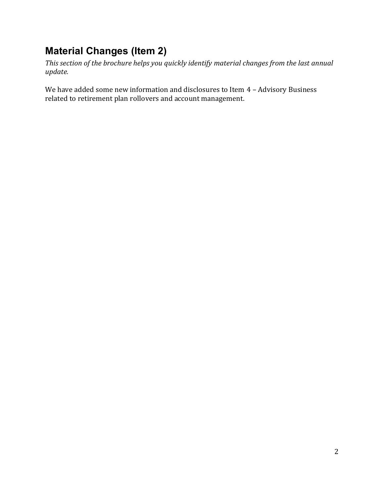## <span id="page-1-0"></span>**Material Changes (Item 2)**

*This section of the brochure helps you quickly identify material changes from the last annual update.*

We have added some new information and disclosures to Item 4 - Advisory Business related to retirement plan rollovers and account management.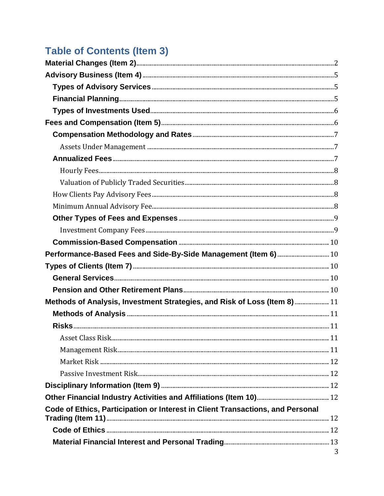# **Table of Contents (Item 3)**

| Performance-Based Fees and Side-By-Side Management (Item 6)  10                |   |
|--------------------------------------------------------------------------------|---|
|                                                                                |   |
|                                                                                |   |
|                                                                                |   |
| Methods of Analysis, Investment Strategies, and Risk of Loss (Item 8) 11       |   |
|                                                                                |   |
|                                                                                |   |
|                                                                                |   |
|                                                                                |   |
|                                                                                |   |
|                                                                                |   |
|                                                                                |   |
|                                                                                |   |
| Code of Ethics, Participation or Interest in Client Transactions, and Personal |   |
|                                                                                |   |
|                                                                                |   |
|                                                                                |   |
|                                                                                | 3 |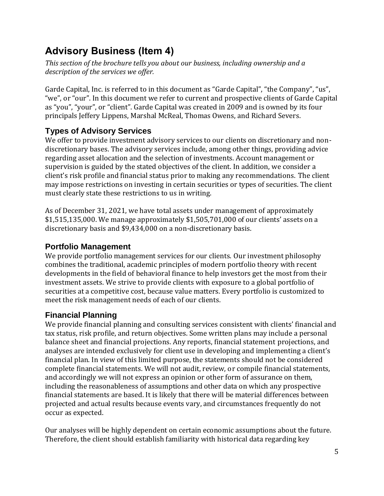## <span id="page-4-0"></span>**Advisory Business (Item 4)**

*This section of the brochure tells you about our business, including ownership and a description of the services we offer.*

Garde Capital, Inc. is referred to in this document as "Garde Capital", "the Company", "us", "we", or "our". In this document we refer to current and prospective clients of Garde Capital as "you", "your", or "client". Garde Capital was created in 2009 and is owned by its four principals Jeffery Lippens, Marshal McReal, Thomas Owens, and Richard Severs.

## <span id="page-4-1"></span>**Types of Advisory Services**

We offer to provide investment advisory services to our clients on discretionary and nondiscretionary bases. The advisory services include, among other things, providing advice regarding asset allocation and the selection of investments. Account management or supervision is guided by the stated objectives of the client. In addition, we consider a client's risk profile and financial status prior to making any recommendations. The client may impose restrictions on investing in certain securities or types of securities. The client must clearly state these restrictions to us in writing.

As of December 31, 2021, we have total assets under management of approximately \$1,515,135,000. We manage approximately \$1,505,701,000 of our clients' assets on a discretionary basis and \$9,434,000 on a non-discretionary basis.

## <span id="page-4-2"></span>**Portfolio Management**

We provide portfolio management services for our clients. Our investment philosophy combines the traditional, academic principles of modern portfolio theory with recent developments in the field of behavioral finance to help investors get the most from their investment assets. We strive to provide clients with exposure to a global portfolio of securities at a competitive cost, because value matters. Every portfolio is customized to meet the risk management needs of each of our clients.

## **Financial Planning**

We provide financial planning and consulting services consistent with clients' financial and tax status, risk profile, and return objectives. Some written plans may include a personal balance sheet and financial projections. Any reports, financial statement projections, and analyses are intended exclusively for client use in developing and implementing a client's financial plan. In view of this limited purpose, the statements should not be considered complete financial statements. We will not audit, review, or compile financial statements, and accordingly we will not express an opinion or other form of assurance on them, including the reasonableness of assumptions and other data on which any prospective financial statements are based. It is likely that there will be material differences between projected and actual results because events vary, and circumstances frequently do not occur as expected.

Our analyses will be highly dependent on certain economic assumptions about the future. Therefore, the client should establish familiarity with historical data regarding key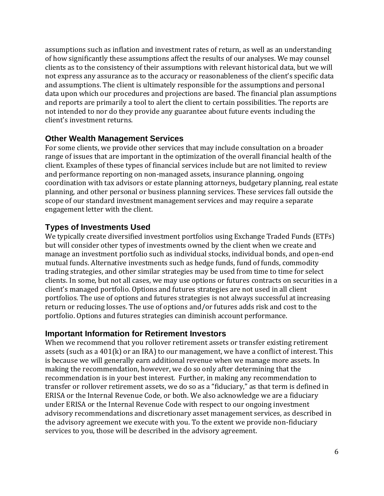assumptions such as inflation and investment rates of return, as well as an understanding of how significantly these assumptions affect the results of our analyses. We may counsel clients as to the consistency of their assumptions with relevant historical data, but we will not express any assurance as to the accuracy or reasonableness of the client's specific data and assumptions. The client is ultimately responsible for the assumptions and personal data upon which our procedures and projections are based. The financial plan assumptions and reports are primarily a tool to alert the client to certain possibilities. The reports are not intended to nor do they provide any guarantee about future events including the client's investment returns.

## **Other Wealth Management Services**

For some clients, we provide other services that may include consultation on a broader range of issues that are important in the optimization of the overall financial health of the client. Examples of these types of financial services include but are not limited to review and performance reporting on non-managed assets, insurance planning, ongoing coordination with tax advisors or estate planning attorneys, budgetary planning, real estate planning, and other personal or business planning services. These services fall outside the scope of our standard investment management services and may require a separate engagement letter with the client.

## <span id="page-5-0"></span>**Types of Investments Used**

We typically create diversified investment portfolios using Exchange Traded Funds (ETFs) but will consider other types of investments owned by the client when we create and manage an investment portfolio such as individual stocks, individual bonds, and open-end mutual funds. Alternative investments such as hedge funds, fund of funds, commodity trading strategies, and other similar strategies may be used from time to time for select clients. In some, but not all cases, we may use options or futures contracts on securities in a client's managed portfolio. Options and futures strategies are not used in all client portfolios. The use of options and futures strategies is not always successful at increasing return or reducing losses. The use of options and/or futures adds risk and cost to the portfolio. Options and futures strategies can diminish account performance.

## <span id="page-5-1"></span>**Important Information for Retirement Investors**

When we recommend that you rollover retirement assets or transfer existing retirement assets (such as a 401(k) or an IRA) to our management, we have a conflict of interest. This is because we will generally earn additional revenue when we manage more assets. In making the recommendation, however, we do so only after determining that the recommendation is in your best interest. Further, in making any recommendation to transfer or rollover retirement assets, we do so as a "fiduciary," as that term is defined in ERISA or the Internal Revenue Code, or both. We also acknowledge we are a fiduciary under ERISA or the Internal Revenue Code with respect to our ongoing investment advisory recommendations and discretionary asset management services, as described in the advisory agreement we execute with you. To the extent we provide non-fiduciary services to you, those will be described in the advisory agreement.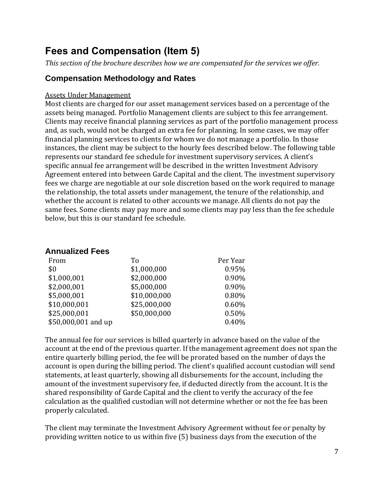## **Fees and Compensation (Item 5)**

*This section of the brochure describes how we are compensated for the services we offer.*

## <span id="page-6-0"></span>**Compensation Methodology and Rates**

#### <span id="page-6-1"></span>Assets Under Management

Most clients are charged for our asset management services based on a percentage of the assets being managed. Portfolio Management clients are subject to this fee arrangement. Clients may receive financial planning services as part of the portfolio management process and, as such, would not be charged an extra fee for planning. In some cases, we may offer financial planning services to clients for whom we do not manage a portfolio. In those instances, the client may be subject to the hourly fees described below. The following table represents our standard fee schedule for investment supervisory services. A client's specific annual fee arrangement will be described in the written Investment Advisory Agreement entered into between Garde Capital and the client. The investment supervisory fees we charge are negotiable at our sole discretion based on the work required to manage the relationship, the total assets under management, the tenure of the relationship, and whether the account is related to other accounts we manage. All clients do not pay the same fees. Some clients may pay more and some clients may pay less than the fee schedule below, but this is our standard fee schedule.

#### <span id="page-6-2"></span>**Annualized Fees**

| From                | To           | Per Year |
|---------------------|--------------|----------|
| \$0                 | \$1,000,000  | 0.95%    |
| \$1,000,001         | \$2,000,000  | 0.90%    |
| \$2,000,001         | \$5,000,000  | 0.90%    |
| \$5,000,001         | \$10,000,000 | 0.80%    |
| \$10,000,001        | \$25,000,000 | 0.60%    |
| \$25,000,001        | \$50,000,000 | 0.50%    |
| \$50,000,001 and up |              | 0.40%    |

The annual fee for our services is billed quarterly in advance based on the value of the account at the end of the previous quarter. If the management agreement does not span the entire quarterly billing period, the fee will be prorated based on the number of days the account is open during the billing period. The client's qualified account custodian will send statements, at least quarterly, showing all disbursements for the account, including the amount of the investment supervisory fee, if deducted directly from the account. It is the shared responsibility of Garde Capital and the client to verify the accuracy of the fee calculation as the qualified custodian will not determine whether or not the fee has been properly calculated.

The client may terminate the Investment Advisory Agreement without fee or penalty by providing written notice to us within five (5) business days from the execution of the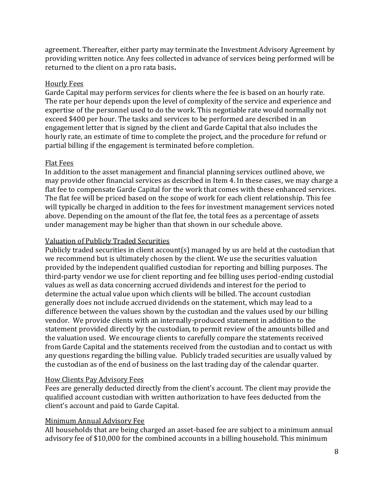agreement. Thereafter, either party may terminate the Investment Advisory Agreement by providing written notice. Any fees collected in advance of services being performed will be returned to the client on a pro rata basis**.**

#### <span id="page-7-0"></span>Hourly Fees

Garde Capital may perform services for clients where the fee is based on an hourly rate. The rate per hour depends upon the level of complexity of the service and experience and expertise of the personnel used to do the work. This negotiable rate would normally not exceed \$400 per hour. The tasks and services to be performed are described in an engagement letter that is signed by the client and Garde Capital that also includes the hourly rate, an estimate of time to complete the project, and the procedure for refund or partial billing if the engagement is terminated before completion.

#### Flat Fees

In addition to the asset management and financial planning services outlined above, we may provide other financial services as described in Item 4. In these cases, we may charge a flat fee to compensate Garde Capital for the work that comes with these enhanced services. The flat fee will be priced based on the scope of work for each client relationship. This fee will typically be charged in addition to the fees for investment management services noted above. Depending on the amount of the flat fee, the total fees as a percentage of assets under management may be higher than that shown in our schedule above.

#### <span id="page-7-1"></span>Valuation of Publicly Traded Securities

Publicly traded securities in client account(s) managed by us are held at the custodian that we recommend but is ultimately chosen by the client. We use the securities valuation provided by the independent qualified custodian for reporting and billing purposes. The third-party vendor we use for client reporting and fee billing uses period-ending custodial values as well as data concerning accrued dividends and interest for the period to determine the actual value upon which clients will be billed. The account custodian generally does not include accrued dividends on the statement, which may lead to a difference between the values shown by the custodian and the values used by our billing vendor. We provide clients with an internally-produced statement in addition to the statement provided directly by the custodian, to permit review of the amounts billed and the valuation used. We encourage clients to carefully compare the statements received from Garde Capital and the statements received from the custodian and to contact us with any questions regarding the billing value. Publicly traded securities are usually valued by the custodian as of the end of business on the last trading day of the calendar quarter.

#### <span id="page-7-2"></span>How Clients Pay Advisory Fees

Fees are generally deducted directly from the client's account. The client may provide the qualified account custodian with written authorization to have fees deducted from the client's account and paid to Garde Capital.

#### <span id="page-7-3"></span>Minimum Annual Advisory Fee

All households that are being charged an asset-based fee are subject to a minimum annual advisory fee of \$10,000 for the combined accounts in a billing household. This minimum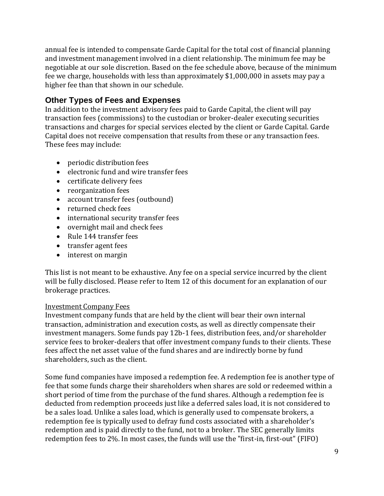annual fee is intended to compensate Garde Capital for the total cost of financial planning and investment management involved in a client relationship. The minimum fee may be negotiable at our sole discretion. Based on the fee schedule above, because of the minimum fee we charge, households with less than approximately \$1,000,000 in assets may pay a higher fee than that shown in our schedule.

## <span id="page-8-0"></span>**Other Types of Fees and Expenses**

In addition to the investment advisory fees paid to Garde Capital, the client will pay transaction fees (commissions) to the custodian or broker-dealer executing securities transactions and charges for special services elected by the client or Garde Capital. Garde Capital does not receive compensation that results from these or any transaction fees. These fees may include:

- periodic distribution fees
- electronic fund and wire transfer fees
- certificate delivery fees
- reorganization fees
- account transfer fees (outbound)
- returned check fees
- international security transfer fees
- overnight mail and check fees
- Rule 144 transfer fees
- transfer agent fees
- interest on margin

This list is not meant to be exhaustive. Any fee on a special service incurred by the client will be fully disclosed. Please refer to Item 12 of this document for an explanation of our brokerage practices.

#### <span id="page-8-1"></span>Investment Company Fees

Investment company funds that are held by the client will bear their own internal transaction, administration and execution costs, as well as directly compensate their investment managers. Some funds pay 12b-1 fees, distribution fees, and/or shareholder service fees to broker-dealers that offer investment company funds to their clients. These fees affect the net asset value of the fund shares and are indirectly borne by fund shareholders, such as the client.

Some fund companies have imposed a redemption fee. A redemption fee is another type of fee that some funds charge their shareholders when shares are sold or redeemed within a short period of time from the purchase of the fund shares. Although a redemption fee is deducted from redemption proceeds just like a deferred sales load, it is not considered to be a sales load. Unlike a sales load, which is generally used to compensate brokers, a redemption fee is typically used to defray fund costs associated with a shareholder's redemption and is paid directly to the fund, not to a broker. The SEC generally limits redemption fees to 2%. In most cases, the funds will use the "first-in, first-out" (FIFO)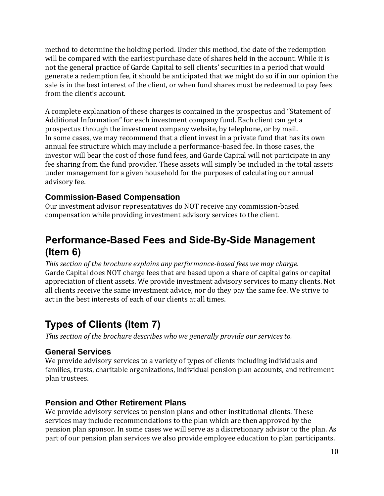method to determine the holding period. Under this method, the date of the redemption will be compared with the earliest purchase date of shares held in the account. While it is not the general practice of Garde Capital to sell clients' securities in a period that would generate a redemption fee, it should be anticipated that we might do so if in our opinion the sale is in the best interest of the client, or when fund shares must be redeemed to pay fees from the client's account.

A complete explanation of these charges is contained in the prospectus and "Statement of Additional Information" for each investment company fund. Each client can get a prospectus through the investment company website, by telephone, or by mail. In some cases, we may recommend that a client invest in a private fund that has its own annual fee structure which may include a performance-based fee. In those cases, the investor will bear the cost of those fund fees, and Garde Capital will not participate in any fee sharing from the fund provider. These assets will simply be included in the total assets under management for a given household for the purposes of calculating our annual advisory fee.

## <span id="page-9-0"></span>**Commission-Based Compensation**

Our investment advisor representatives do NOT receive any commission-based compensation while providing investment advisory services to the client.

## <span id="page-9-1"></span>**Performance-Based Fees and Side-By-Side Management (Item 6)**

*This section of the brochure explains any performance-based fees we may charge.* Garde Capital does NOT charge fees that are based upon a share of capital gains or capital appreciation of client assets. We provide investment advisory services to many clients. Not all clients receive the same investment advice, nor do they pay the same fee. We strive to act in the best interests of each of our clients at all times.

## <span id="page-9-2"></span>**Types of Clients (Item 7)**

*This section of the brochure describes who we generally provide our services to.*

## <span id="page-9-3"></span>**General Services**

We provide advisory services to a variety of types of clients including individuals and families, trusts, charitable organizations, individual pension plan accounts, and retirement plan trustees.

## <span id="page-9-4"></span>**Pension and Other Retirement Plans**

We provide advisory services to pension plans and other institutional clients. These services may include recommendations to the plan which are then approved by the pension plan sponsor. In some cases we will serve as a discretionary advisor to the plan. As part of our pension plan services we also provide employee education to plan participants.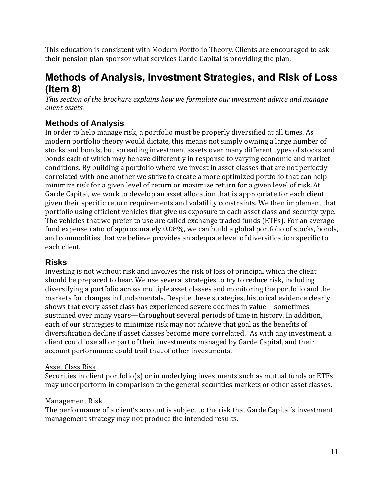<span id="page-10-0"></span>This education is consistent with Modern Portfolio Theory. Clients are encouraged to ask their pension plan sponsor what services Garde Capital is providing the plan.

## **Methods of Analysis, Investment Strategies, and Risk of Loss (Item 8)**

*This section of the brochure explains how we formulate our investment advice and manage client assets.*

## <span id="page-10-1"></span>**Methods of Analysis**

In order to help manage risk, a portfolio must be properly diversified at all times. As modern portfolio theory would dictate, this means not simply owning a large number of stocks and bonds, but spreading investment assets over many different types of stocks and bonds each of which may behave differently in response to varying economic and market conditions. By building a portfolio where we invest in asset classes that are not perfectly correlated with one another we strive to create a more optimized portfolio that can help minimize risk for a given level of return or maximize return for a given level of risk. At Garde Capital, we work to develop an asset allocation that is appropriate for each client given their specific return requirements and volatility constraints. We then implement that portfolio using efficient vehicles that give us exposure to each asset class and security type. The vehicles that we prefer to use are called exchange traded funds (ETFs). For an average fund expense ratio of approximately 0.08%, we can build a global portfolio of stocks, bonds, and commodities that we believe provides an adequate level of diversification specific to each client.

## <span id="page-10-2"></span>**Risks**

Investing is not without risk and involves the risk of loss of principal which the client should be prepared to bear. We use several strategies to try to reduce risk, including diversifying a portfolio across multiple asset classes and monitoring the portfolio and the markets for changes in fundamentals. Despite these strategies, historical evidence clearly shows that every asset class has experienced severe declines in value—sometimes sustained over many years—throughout several periods of time in history. In addition, each of our strategies to minimize risk may not achieve that goal as the benefits of diversification decline if asset classes become more correlated. As with any investment, a client could lose all or part of their investments managed by Garde Capital, and their account performance could trail that of other investments.

#### <span id="page-10-3"></span>Asset Class Risk

<span id="page-10-4"></span>Securities in client portfolio(s) or in underlying investments such as mutual funds or ETFs may underperform in comparison to the general securities markets or other asset classes.

#### Management Risk

The performance of a client's account is subject to the risk that Garde Capital's investment management strategy may not produce the intended results.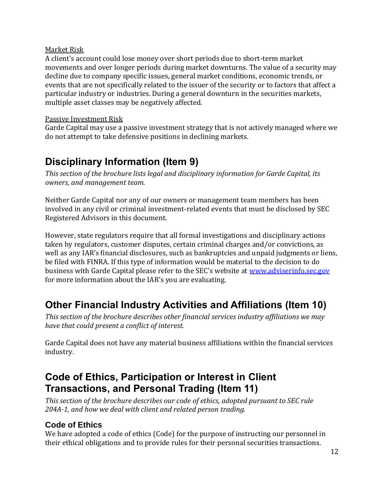#### <span id="page-11-0"></span>Market Risk

A client's account could lose money over short periods due to short-term market movements and over longer periods during market downturns. The value of a security may decline due to company specific issues, general market conditions, economic trends, or events that are not specifically related to the issuer of the security or to factors that affect a particular industry or industries. During a general downturn in the securities markets, multiple asset classes may be negatively affected.

#### <span id="page-11-1"></span>Passive Investment Risk

Garde Capital may use a passive investment strategy that is not actively managed where we do not attempt to take defensive positions in declining markets.

## <span id="page-11-2"></span>**Disciplinary Information (Item 9)**

*This section of the brochure lists legal and disciplinary information for Garde Capital, its owners, and management team.*

Neither Garde Capital nor any of our owners or management team members has been involved in any civil or criminal investment-related events that must be disclosed by SEC Registered Advisors in this document.

However, state regulators require that all formal investigations and disciplinary actions taken by regulators, customer disputes, certain criminal charges and/or convictions, as well as any IAR's financial disclosures, such as bankruptcies and unpaid judgments or liens, be filed with FINRA. If this type of information would be material to the decision to do business with Garde Capital please refer to the SEC's website at [www.adviserinfo.sec.gov](http://www.adviserinfo.sec.gov/) for more information about the IAR's you are evaluating.

## <span id="page-11-3"></span>**Other Financial Industry Activities and Affiliations (Item 10)**

*This section of the brochure describes other financial services industry affiliations we may have that could present a conflict of interest.*

<span id="page-11-4"></span>Garde Capital does not have any material business affiliations within the financial services industry.

## **Code of Ethics, Participation or Interest in Client Transactions, and Personal Trading (Item 11)**

*This section of the brochure describes our code of ethics, adopted pursuant to SEC rule 204A-1, and how we deal with client and related person trading.*

## <span id="page-11-5"></span>**Code of Ethics**

We have adopted a code of ethics (Code) for the purpose of instructing our personnel in their ethical obligations and to provide rules for their personal securities transactions.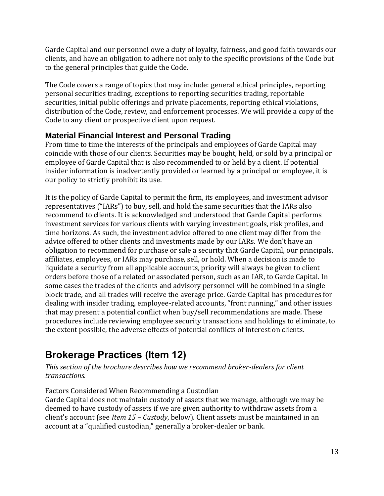Garde Capital and our personnel owe a duty of loyalty, fairness, and good faith towards our clients, and have an obligation to adhere not only to the specific provisions of the Code but to the general principles that guide the Code.

The Code covers a range of topics that may include: general ethical principles, reporting personal securities trading, exceptions to reporting securities trading, reportable securities, initial public offerings and private placements, reporting ethical violations, distribution of the Code, review, and enforcement processes. We will provide a copy of the Code to any client or prospective client upon request.

## <span id="page-12-0"></span>**Material Financial Interest and Personal Trading**

From time to time the interests of the principals and employees of Garde Capital may coincide with those of our clients. Securities may be bought, held, or sold by a principal or employee of Garde Capital that is also recommended to or held by a client. If potential insider information is inadvertently provided or learned by a principal or employee, it is our policy to strictly prohibit its use.

It is the policy of Garde Capital to permit the firm, its employees, and investment advisor representatives ("IARs") to buy, sell, and hold the same securities that the IARs also recommend to clients. It is acknowledged and understood that Garde Capital performs investment services for various clients with varying investment goals, risk profiles, and time horizons. As such, the investment advice offered to one client may differ from the advice offered to other clients and investments made by our IARs. We don't have an obligation to recommend for purchase or sale a security that Garde Capital, our principals, affiliates, employees, or IARs may purchase, sell, or hold. When a decision is made to liquidate a security from all applicable accounts, priority will always be given to client orders before those of a related or associated person, such as an IAR, to Garde Capital. In some cases the trades of the clients and advisory personnel will be combined in a single block trade, and all trades will receive the average price. Garde Capital has procedures for dealing with insider trading, employee-related accounts, "front running," and other issues that may present a potential conflict when buy/sell recommendations are made. These procedures include reviewing employee security transactions and holdings to eliminate, to the extent possible, the adverse effects of potential conflicts of interest on clients.

## <span id="page-12-1"></span>**Brokerage Practices (Item 12)**

*This section of the brochure describes how we recommend broker-dealers for client transactions.*

## <span id="page-12-2"></span>Factors Considered When Recommending a Custodian

Garde Capital does not maintain custody of assets that we manage, although we may be deemed to have custody of assets if we are given authority to withdraw assets from a client's account (see *Item 15 – Custody*, below). Client assets must be maintained in an account at a "qualified custodian," generally a broker-dealer or bank.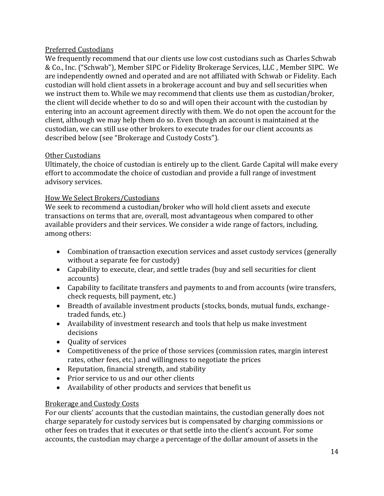#### <span id="page-13-0"></span>Preferred Custodians

We frequently recommend that our clients use low cost custodians such as Charles Schwab & Co., Inc. ("Schwab"), Member SIPC or Fidelity Brokerage Services, LLC , Member SIPC. We are independently owned and operated and are not affiliated with Schwab or Fidelity. Each custodian will hold client assets in a brokerage account and buy and sell securities when we instruct them to. While we may recommend that clients use them as custodian/broker, the client will decide whether to do so and will open their account with the custodian by entering into an account agreement directly with them. We do not open the account for the client, although we may help them do so. Even though an account is maintained at the custodian, we can still use other brokers to execute trades for our client accounts as described below (see "Brokerage and Custody Costs").

#### Other Custodians

Ultimately, the choice of custodian is entirely up to the client. Garde Capital will make every effort to accommodate the choice of custodian and provide a full range of investment advisory services.

#### <span id="page-13-1"></span>How We Select Brokers/Custodians

We seek to recommend a custodian/broker who will hold client assets and execute transactions on terms that are, overall, most advantageous when compared to other available providers and their services. We consider a wide range of factors, including, among others:

- Combination of transaction execution services and asset custody services (generally without a separate fee for custody)
- Capability to execute, clear, and settle trades (buy and sell securities for client accounts)
- Capability to facilitate transfers and payments to and from accounts (wire transfers, check requests, bill payment, etc.)
- Breadth of available investment products (stocks, bonds, mutual funds, exchangetraded funds, etc.)
- Availability of investment research and tools that help us make investment decisions
- Quality of services
- Competitiveness of the price of those services (commission rates, margin interest rates, other fees, etc.) and willingness to negotiate the prices
- Reputation, financial strength, and stability
- Prior service to us and our other clients
- Availability of other products and services that benefit us

#### <span id="page-13-2"></span>Brokerage and Custody Costs

For our clients' accounts that the custodian maintains, the custodian generally does not charge separately for custody services but is compensated by charging commissions or other fees on trades that it executes or that settle into the client's account. For some accounts, the custodian may charge a percentage of the dollar amount of assets in the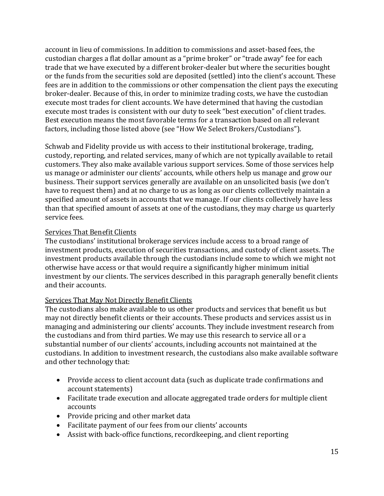account in lieu of commissions. In addition to commissions and asset-based fees, the custodian charges a flat dollar amount as a "prime broker" or "trade away" fee for each trade that we have executed by a different broker-dealer but where the securities bought or the funds from the securities sold are deposited (settled) into the client's account. These fees are in addition to the commissions or other compensation the client pays the executing broker-dealer. Because of this, in order to minimize trading costs, we have the custodian execute most trades for client accounts. We have determined that having the custodian execute most trades is consistent with our duty to seek "best execution" of client trades. Best execution means the most favorable terms for a transaction based on all relevant factors, including those listed above (see "How We Select Brokers/Custodians").

Schwab and Fidelity provide us with access to their institutional brokerage, trading, custody, reporting, and related services, many of which are not typically available to retail customers. They also make available various support services. Some of those services help us manage or administer our clients' accounts, while others help us manage and grow our business. Their support services generally are available on an unsolicited basis (we don't have to request them) and at no charge to us as long as our clients collectively maintain a specified amount of assets in accounts that we manage. If our clients collectively have less than that specified amount of assets at one of the custodians, they may charge us quarterly service fees.

#### Services That Benefit Clients

The custodians' institutional brokerage services include access to a broad range of investment products, execution of securities transactions, and custody of client assets. The investment products available through the custodians include some to which we might not otherwise have access or that would require a significantly higher minimum initial investment by our clients. The services described in this paragraph generally benefit clients and their accounts.

#### Services That May Not Directly Benefit Clients

The custodians also make available to us other products and services that benefit us but may not directly benefit clients or their accounts. These products and services assist us in managing and administering our clients' accounts. They include investment research from the custodians and from third parties. We may use this research to service all or a substantial number of our clients' accounts, including accounts not maintained at the custodians. In addition to investment research, the custodians also make available software and other technology that:

- Provide access to client account data (such as duplicate trade confirmations and account statements)
- Facilitate trade execution and allocate aggregated trade orders for multiple client accounts
- Provide pricing and other market data
- Facilitate payment of our fees from our clients' accounts
- Assist with back-office functions, recordkeeping, and client reporting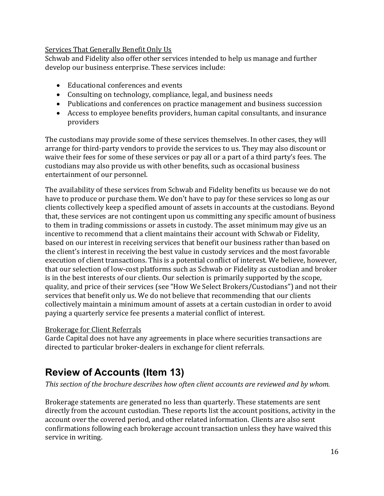#### <span id="page-15-0"></span>Services That Generally Benefit Only Us

Schwab and Fidelity also offer other services intended to help us manage and further develop our business enterprise. These services include:

- Educational conferences and events
- Consulting on technology, compliance, legal, and business needs
- Publications and conferences on practice management and business succession
- Access to employee benefits providers, human capital consultants, and insurance providers

The custodians may provide some of these services themselves. In other cases, they will arrange for third-party vendors to provide the services to us. They may also discount or waive their fees for some of these services or pay all or a part of a third party's fees. The custodians may also provide us with other benefits, such as occasional business entertainment of our personnel.

The availability of these services from Schwab and Fidelity benefits us because we do not have to produce or purchase them. We don't have to pay for these services so long as our clients collectively keep a specified amount of assets in accounts at the custodians. Beyond that, these services are not contingent upon us committing any specific amount of business to them in trading commissions or assets in custody. The asset minimum may give us an incentive to recommend that a client maintains their account with Schwab or Fidelity, based on our interest in receiving services that benefit our business rather than based on the client's interest in receiving the best value in custody services and the most favorable execution of client transactions. This is a potential conflict of interest. We believe, however, that our selection of low-cost platforms such as Schwab or Fidelity as custodian and broker is in the best interests of our clients. Our selection is primarily supported by the scope, quality, and price of their services (see "How We Select Brokers/Custodians") and not their services that benefit only us. We do not believe that recommending that our clients collectively maintain a minimum amount of assets at a certain custodian in order to avoid paying a quarterly service fee presents a material conflict of interest.

#### <span id="page-15-1"></span>Brokerage for Client Referrals

Garde Capital does not have any agreements in place where securities transactions are directed to particular broker-dealers in exchange for client referrals.

## <span id="page-15-2"></span>**Review of Accounts (Item 13)**

*This section of the brochure describes how often client accounts are reviewed and by whom.*

Brokerage statements are generated no less than quarterly. These statements are sent directly from the account custodian. These reports list the account positions, activity in the account over the covered period, and other related information. Clients are also sent confirmations following each brokerage account transaction unless they have waived this service in writing.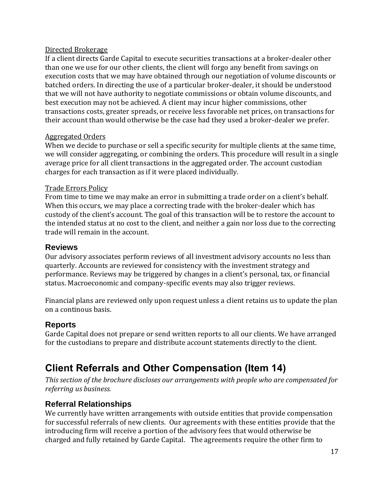#### <span id="page-16-0"></span>Directed Brokerage

If a client directs Garde Capital to execute securities transactions at a broker-dealer other than one we use for our other clients, the client will forgo any benefit from savings on execution costs that we may have obtained through our negotiation of volume discounts or batched orders. In directing the use of a particular broker-dealer, it should be understood that we will not have authority to negotiate commissions or obtain volume discounts, and best execution may not be achieved. A client may incur higher commissions, other transactions costs, greater spreads, or receive less favorable net prices, on transactions for their account than would otherwise be the case had they used a broker-dealer we prefer.

#### <span id="page-16-1"></span>Aggregated Orders

When we decide to purchase or sell a specific security for multiple clients at the same time, we will consider aggregating, or combining the orders. This procedure will result in a single average price for all client transactions in the aggregated order. The account custodian charges for each transaction as if it were placed individually.

#### <span id="page-16-2"></span>Trade Errors Policy

From time to time we may make an error in submitting a trade order on a client's behalf. When this occurs, we may place a correcting trade with the broker-dealer which has custody of the client's account. The goal of this transaction will be to restore the account to the intended status at no cost to the client, and neither a gain nor loss due to the correcting trade will remain in the account.

#### <span id="page-16-3"></span>**Reviews**

Our advisory associates perform reviews of all investment advisory accounts no less than quarterly. Accounts are reviewed for consistency with the investment strategy and performance. Reviews may be triggered by changes in a client's personal, tax, or financial status. Macroeconomic and company-specific events may also trigger reviews.

Financial plans are reviewed only upon request unless a client retains us to update the plan on a continous basis.

## <span id="page-16-4"></span>**Reports**

Garde Capital does not prepare or send written reports to all our clients. We have arranged for the custodians to prepare and distribute account statements directly to the client.

## <span id="page-16-5"></span>**Client Referrals and Other Compensation (Item 14)**

*This section of the brochure discloses our arrangements with people who are compensated for referring us business.*

## <span id="page-16-6"></span>**Referral Relationships**

We currently have written arrangements with outside entities that provide compensation for successful referrals of new clients. Our agreements with these entities provide that the introducing firm will receive a portion of the advisory fees that would otherwise be charged and fully retained by Garde Capital. The agreements require the other firm to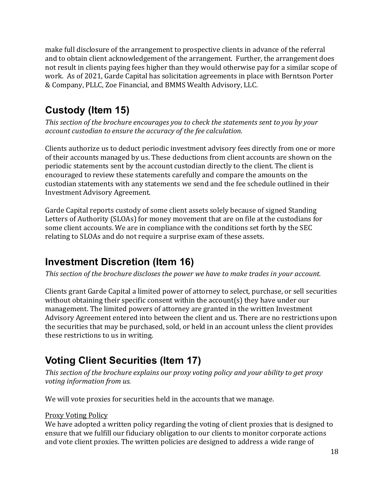make full disclosure of the arrangement to prospective clients in advance of the referral and to obtain client acknowledgement of the arrangement. Further, the arrangement does not result in clients paying fees higher than they would otherwise pay for a similar scope of work. As of 2021, Garde Capital has solicitation agreements in place with Berntson Porter & Company, PLLC, Zoe Financial, and BMMS Wealth Advisory, LLC.

## <span id="page-17-0"></span>**Custody (Item 15)**

*This section of the brochure encourages you to check the statements sent to you by your account custodian to ensure the accuracy of the fee calculation.*

Clients authorize us to deduct periodic investment advisory fees directly from one or more of their accounts managed by us. These deductions from client accounts are shown on the periodic statements sent by the account custodian directly to the client. The client is encouraged to review these statements carefully and compare the amounts on the custodian statements with any statements we send and the fee schedule outlined in their Investment Advisory Agreement.

Garde Capital reports custody of some client assets solely because of signed Standing Letters of Authority (SLOAs) for money movement that are on file at the custodians for some client accounts. We are in compliance with the conditions set forth by the SEC relating to SLOAs and do not require a surprise exam of these assets.

## <span id="page-17-1"></span>**Investment Discretion (Item 16)**

*This section of the brochure discloses the power we have to make trades in your account.*

Clients grant Garde Capital a limited power of attorney to select, purchase, or sell securities without obtaining their specific consent within the account(s) they have under our management. The limited powers of attorney are granted in the written Investment Advisory Agreement entered into between the client and us. There are no restrictions upon the securities that may be purchased, sold, or held in an account unless the client provides these restrictions to us in writing.

## <span id="page-17-2"></span>**Voting Client Securities (Item 17)**

*This section of the brochure explains our proxy voting policy and your ability to get proxy voting information from us.*

We will vote proxies for securities held in the accounts that we manage.

#### <span id="page-17-3"></span>Proxy Voting Policy

We have adopted a written policy regarding the voting of client proxies that is designed to ensure that we fulfill our fiduciary obligation to our clients to monitor corporate actions and vote client proxies. The written policies are designed to address a wide range of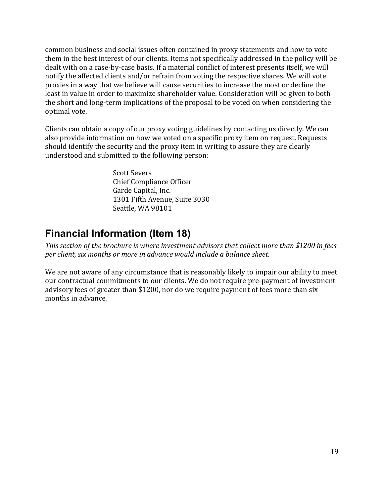common business and social issues often contained in proxy statements and how to vote them in the best interest of our clients. Items not specifically addressed in the policy will be dealt with on a case-by-case basis. If a material conflict of interest presents itself, we will notify the affected clients and/or refrain from voting the respective shares. We will vote proxies in a way that we believe will cause securities to increase the most or decline the least in value in order to maximize shareholder value. Consideration will be given to both the short and long-term implications of the proposal to be voted on when considering the optimal vote.

Clients can obtain a copy of our proxy voting guidelines by contacting us directly. We can also provide information on how we voted on a specific proxy item on request. Requests should identify the security and the proxy item in writing to assure they are clearly understood and submitted to the following person:

> Scott Severs Chief Compliance Officer Garde Capital, Inc. 1301 Fifth Avenue, Suite 3030 Seattle, WA 98101

## <span id="page-18-0"></span>**Financial Information (Item 18)**

*This section of the brochure is where investment advisors that collect more than \$1200 in fees per client, six months or more in advance would include a balance sheet.*

<span id="page-18-1"></span>We are not aware of any circumstance that is reasonably likely to impair our ability to meet our contractual commitments to our clients. We do not require pre-payment of investment advisory fees of greater than \$1200, nor do we require payment of fees more than six months in advance.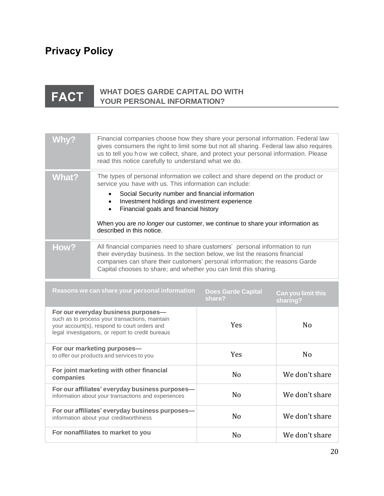# **Privacy Policy**

#### **WHAT DOES GARDE CAPITAL DO WITH** FACT **YOUR PERSONAL INFORMATION?**

| <b>Why?</b>  | Financial companies choose how they share your personal information. Federal law<br>gives consumers the right to limit some but not all sharing. Federal law also requires<br>us to tell you how we collect, share, and protect your personal information. Please<br>read this notice carefully to understand what we do.                                                                                                                     |                                     |                                |
|--------------|-----------------------------------------------------------------------------------------------------------------------------------------------------------------------------------------------------------------------------------------------------------------------------------------------------------------------------------------------------------------------------------------------------------------------------------------------|-------------------------------------|--------------------------------|
| <b>What?</b> | The types of personal information we collect and share depend on the product or<br>service you have with us. This information can include:<br>Social Security number and financial information<br>$\bullet$<br>Investment holdings and investment experience<br>$\bullet$<br>Financial goals and financial history<br>$\bullet$<br>When you are no longer our customer, we continue to share your information as<br>described in this notice. |                                     |                                |
| How?         | All financial companies need to share customers' personal information to run<br>their everyday business. In the section below, we list the reasons financial<br>companies can share their customers' personal information; the reasons Garde<br>Capital chooses to share; and whether you can limit this sharing.                                                                                                                             |                                     |                                |
|              | Reasons we can share your personal information                                                                                                                                                                                                                                                                                                                                                                                                | <b>Does Garde Capital</b><br>share? | Can you limit this<br>sharing? |
|              | For our everyday business purposes-<br>such as to process your transactions, maintain<br>your account(s), respond to court orders and<br>legal investigations, or report to credit bureaus                                                                                                                                                                                                                                                    | Yes                                 | N <sub>o</sub>                 |
|              | For our marketing purposes-<br>to offer our products and services to you                                                                                                                                                                                                                                                                                                                                                                      | Yes                                 | N <sub>o</sub>                 |
| companies    | For joint marketing with other financial                                                                                                                                                                                                                                                                                                                                                                                                      | N <sub>0</sub>                      | We don't share                 |
|              | For our affiliates' everyday business purposes-<br>information about your transactions and experiences                                                                                                                                                                                                                                                                                                                                        | N <sub>o</sub>                      | We don't share                 |
|              | For our affiliates' everyday business purposes-<br>information about your creditworthiness                                                                                                                                                                                                                                                                                                                                                    | N <sub>o</sub>                      | We don't share                 |
|              | For nonaffiliates to market to you                                                                                                                                                                                                                                                                                                                                                                                                            | N <sub>o</sub>                      | We don't share                 |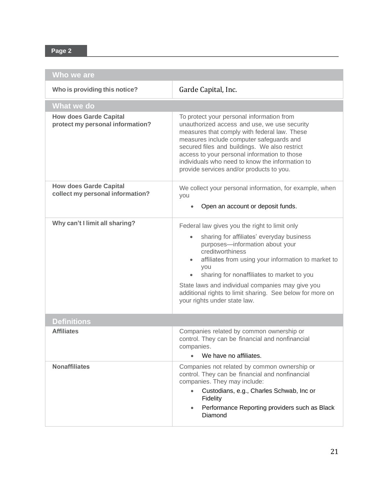## **Page 2**

| Who we are                                                        |                                                                                                                                                                                                                                                                                                                                                                                                                |
|-------------------------------------------------------------------|----------------------------------------------------------------------------------------------------------------------------------------------------------------------------------------------------------------------------------------------------------------------------------------------------------------------------------------------------------------------------------------------------------------|
| Who is providing this notice?                                     | Garde Capital, Inc.                                                                                                                                                                                                                                                                                                                                                                                            |
| What we do                                                        |                                                                                                                                                                                                                                                                                                                                                                                                                |
| <b>How does Garde Capital</b><br>protect my personal information? | To protect your personal information from<br>unauthorized access and use, we use security<br>measures that comply with federal law. These<br>measures include computer safeguards and<br>secured files and buildings. We also restrict<br>access to your personal information to those<br>individuals who need to know the information to<br>provide services and/or products to you.                          |
| <b>How does Garde Capital</b><br>collect my personal information? | We collect your personal information, for example, when<br>you<br>Open an account or deposit funds.                                                                                                                                                                                                                                                                                                            |
| Why can't I limit all sharing?                                    |                                                                                                                                                                                                                                                                                                                                                                                                                |
|                                                                   | Federal law gives you the right to limit only<br>sharing for affiliates' everyday business<br>purposes-information about your<br>creditworthiness<br>affiliates from using your information to market to<br>you<br>sharing for nonaffiliates to market to you<br>State laws and individual companies may give you<br>additional rights to limit sharing. See below for more on<br>your rights under state law. |
|                                                                   |                                                                                                                                                                                                                                                                                                                                                                                                                |
| <b>Definitions</b><br><b>Affiliates</b>                           | Companies related by common ownership or<br>control. They can be financial and nonfinancial<br>companies.<br>We have no affiliates.                                                                                                                                                                                                                                                                            |
| <b>Nonaffiliates</b>                                              | Companies not related by common ownership or<br>control. They can be financial and nonfinancial<br>companies. They may include:<br>Custodians, e.g., Charles Schwab, Inc or<br>Fidelity<br>Performance Reporting providers such as Black<br>$\bullet$<br>Diamond                                                                                                                                               |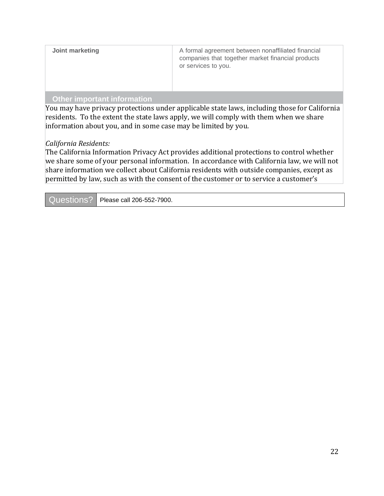| Joint marketing | A formal agreement between nonaffiliated financial                       |
|-----------------|--------------------------------------------------------------------------|
|                 | companies that together market financial products<br>or services to you. |
|                 |                                                                          |

#### **Other important information**

You may have privacy protections under applicable state laws, including those for California residents. To the extent the state laws apply, we will comply with them when we share information about you, and in some case may be limited by you.

#### *California Residents:*

The California Information Privacy Act provides additional protections to control whether we share some of your personal information. In accordance with California law, we will not share information we collect about California residents with outside companies, except as permitted by law, such as with the consent of the customer or to service a customer's

| Questions?   Please call 206-552-7900. |
|----------------------------------------|
|                                        |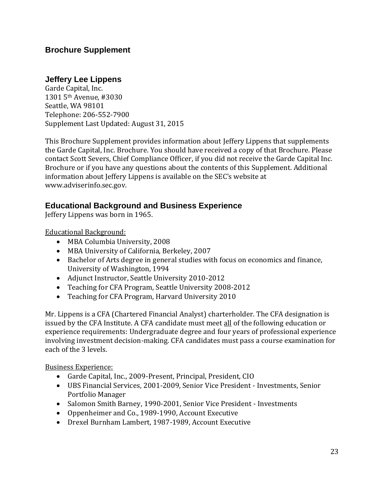### **Jeffery Lee Lippens**

Garde Capital, Inc. 1301 5th Avenue, #3030 Seattle, WA 98101 Telephone: 206-552-7900 Supplement Last Updated: August 31, 2015

This Brochure Supplement provides information about Jeffery Lippens that supplements the Garde Capital, Inc. Brochure. You should have received a copy of that Brochure. Please contact Scott Severs, Chief Compliance Officer, if you did not receive the Garde Capital Inc. Brochure or if you have any questions about the contents of this Supplement. Additional information about Jeffery Lippens is available on the SEC's website at [www.adviserinfo.sec.gov.](http://www.adviserinfo.sec.gov/)

#### **Educational Background and Business Experience**

Jeffery Lippens was born in 1965.

Educational Background:

- MBA Columbia University, 2008
- MBA University of California, Berkeley, 2007
- Bachelor of Arts degree in general studies with focus on economics and finance, University of Washington, 1994
- Adjunct Instructor, Seattle University 2010-2012
- Teaching for CFA Program, Seattle University 2008-2012
- Teaching for CFA Program, Harvard University 2010

Mr. Lippens is a CFA (Chartered Financial Analyst) charterholder. The CFA designation is issued by the CFA Institute. A CFA candidate must meet all of the following education or experience requirements: Undergraduate degree and four years of professional experience involving investment decision-making. CFA candidates must pass a course examination for each of the 3 levels.

#### Business Experience:

- Garde Capital, Inc., 2009-Present, Principal, President, CIO
- UBS Financial Services, 2001-2009, Senior Vice President Investments, Senior Portfolio Manager
- Salomon Smith Barney, 1990-2001, Senior Vice President Investments
- Oppenheimer and Co., 1989-1990, Account Executive
- Drexel Burnham Lambert, 1987-1989, Account Executive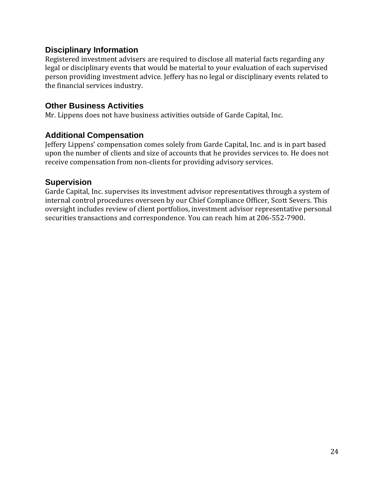## **Disciplinary Information**

Registered investment advisers are required to disclose all material facts regarding any legal or disciplinary events that would be material to your evaluation of each supervised person providing investment advice. Jeffery has no legal or disciplinary events related to the financial services industry.

### **Other Business Activities**

Mr. Lippens does not have business activities outside of Garde Capital, Inc.

## **Additional Compensation**

Jeffery Lippens' compensation comes solely from Garde Capital, Inc. and is in part based upon the number of clients and size of accounts that he provides services to. He does not receive compensation from non-clients for providing advisory services.

## **Supervision**

Garde Capital, Inc. supervises its investment advisor representatives through a system of internal control procedures overseen by our Chief Compliance Officer, Scott Severs. This oversight includes review of client portfolios, investment advisor representative personal securities transactions and correspondence. You can reach him at 206-552-7900.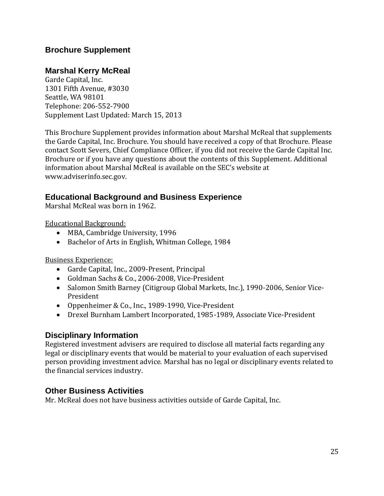## **Marshal Kerry McReal**

Garde Capital, Inc. 1301 Fifth Avenue, #3030 Seattle, WA 98101 Telephone: 206-552-7900 Supplement Last Updated: March 15, 2013

This Brochure Supplement provides information about Marshal McReal that supplements the Garde Capital, Inc. Brochure. You should have received a copy of that Brochure. Please contact Scott Severs, Chief Compliance Officer, if you did not receive the Garde Capital Inc. Brochure or if you have any questions about the contents of this Supplement. Additional information about Marshal McReal is available on the SEC's website at [www.adviserinfo.sec.gov.](http://www.adviserinfo.sec.gov/)

## **Educational Background and Business Experience**

Marshal McReal was born in 1962.

Educational Background:

- MBA, Cambridge University, 1996
- Bachelor of Arts in English, Whitman College, 1984

Business Experience:

- Garde Capital, Inc., 2009-Present, Principal
- Goldman Sachs & Co., 2006-2008, Vice-President
- Salomon Smith Barney (Citigroup Global Markets, Inc.), 1990-2006, Senior Vice-President
- Oppenheimer & Co., Inc., 1989-1990, Vice-President
- Drexel Burnham Lambert Incorporated, 1985-1989, Associate Vice-President

#### **Disciplinary Information**

Registered investment advisers are required to disclose all material facts regarding any legal or disciplinary events that would be material to your evaluation of each supervised person providing investment advice. Marshal has no legal or disciplinary events related to the financial services industry.

#### **Other Business Activities**

Mr. McReal does not have business activities outside of Garde Capital, Inc.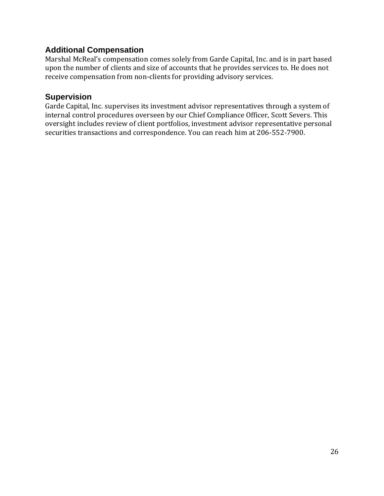## **Additional Compensation**

Marshal McReal's compensation comes solely from Garde Capital, Inc. and is in part based upon the number of clients and size of accounts that he provides services to. He does not receive compensation from non-clients for providing advisory services.

#### **Supervision**

Garde Capital, Inc. supervises its investment advisor representatives through a system of internal control procedures overseen by our Chief Compliance Officer, Scott Severs. This oversight includes review of client portfolios, investment advisor representative personal securities transactions and correspondence. You can reach him at 206-552-7900.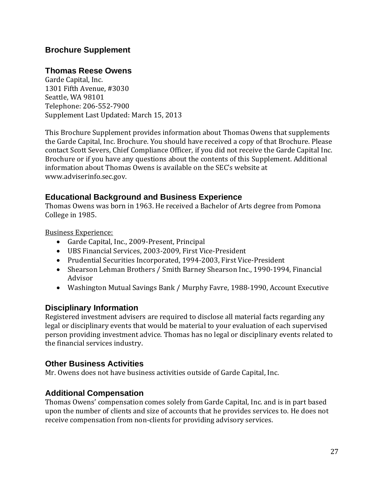## **Thomas Reese Owens**

Garde Capital, Inc. 1301 Fifth Avenue, #3030 Seattle, WA 98101 Telephone: 206-552-7900 Supplement Last Updated: March 15, 2013

This Brochure Supplement provides information about Thomas Owens that supplements the Garde Capital, Inc. Brochure. You should have received a copy of that Brochure. Please contact Scott Severs, Chief Compliance Officer, if you did not receive the Garde Capital Inc. Brochure or if you have any questions about the contents of this Supplement. Additional information about Thomas Owens is available on the SEC's website at [www.adviserinfo.sec.gov.](http://www.adviserinfo.sec.gov/)

## **Educational Background and Business Experience**

Thomas Owens was born in 1963. He received a Bachelor of Arts degree from Pomona College in 1985.

Business Experience:

- Garde Capital, Inc., 2009-Present, Principal
- UBS Financial Services, 2003-2009, First Vice-President
- Prudential Securities Incorporated, 1994-2003, First Vice-President
- Shearson Lehman Brothers / Smith Barney Shearson Inc., 1990-1994, Financial Advisor
- Washington Mutual Savings Bank / Murphy Favre, 1988-1990, Account Executive

#### **Disciplinary Information**

Registered investment advisers are required to disclose all material facts regarding any legal or disciplinary events that would be material to your evaluation of each supervised person providing investment advice. Thomas has no legal or disciplinary events related to the financial services industry.

#### **Other Business Activities**

Mr. Owens does not have business activities outside of Garde Capital, Inc.

#### **Additional Compensation**

Thomas Owens' compensation comes solely from Garde Capital, Inc. and is in part based upon the number of clients and size of accounts that he provides services to. He does not receive compensation from non-clients for providing advisory services.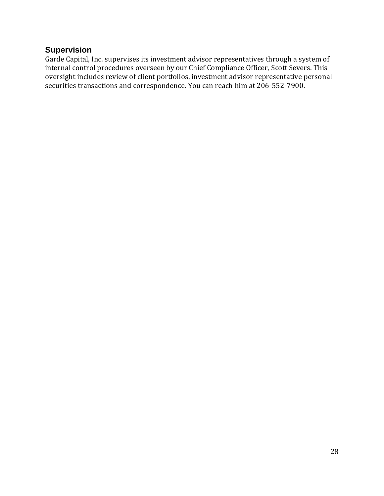## **Supervision**

Garde Capital, Inc. supervises its investment advisor representatives through a system of internal control procedures overseen by our Chief Compliance Officer, Scott Severs. This oversight includes review of client portfolios, investment advisor representative personal securities transactions and correspondence. You can reach him at 206-552-7900.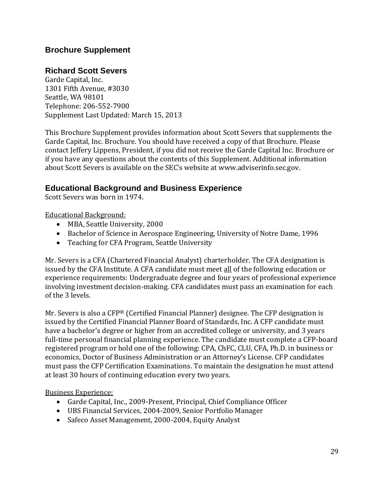## **Richard Scott Severs**

Garde Capital, Inc. 1301 Fifth Avenue, #3030 Seattle, WA 98101 Telephone: 206-552-7900 Supplement Last Updated: March 15, 2013

This Brochure Supplement provides information about Scott Severs that supplements the Garde Capital, Inc. Brochure. You should have received a copy of that Brochure. Please contact Jeffery Lippens, President, if you did not receive the Garde Capital Inc. Brochure or if you have any questions about the contents of this Supplement. Additional information about Scott Severs is available on the SEC's website at [www.adviserinfo.sec.gov.](http://www.adviserinfo.sec.gov/)

## **Educational Background and Business Experience**

Scott Severs was born in 1974.

Educational Background:

- MBA, Seattle University, 2000
- Bachelor of Science in Aerospace Engineering, University of Notre Dame, 1996
- Teaching for CFA Program, Seattle University

Mr. Severs is a CFA (Chartered Financial Analyst) charterholder. The CFA designation is issued by the CFA Institute. A CFA candidate must meet all of the following education or experience requirements: Undergraduate degree and four years of professional experience involving investment decision-making. CFA candidates must pass an examination for each of the 3 levels.

Mr. Severs is also a CFP® (Certified Financial Planner) designee. The CFP designation is issued by the Certified Financial Planner Board of Standards, Inc. A CFP candidate must have a bachelor's degree or higher from an accredited college or university, and 3 years full-time personal financial planning experience. The candidate must complete a CFP-board registered program or hold one of the following: CPA, ChFC, CLU, CFA, Ph.D. in business or economics, Doctor of Business Administration or an Attorney's License. CFP candidates must pass the CFP Certification Examinations. To maintain the designation he must attend at least 30 hours of continuing education every two years.

Business Experience:

- Garde Capital, Inc., 2009-Present, Principal, Chief Compliance Officer
- UBS Financial Services, 2004-2009, Senior Portfolio Manager
- Safeco Asset Management, 2000-2004, Equity Analyst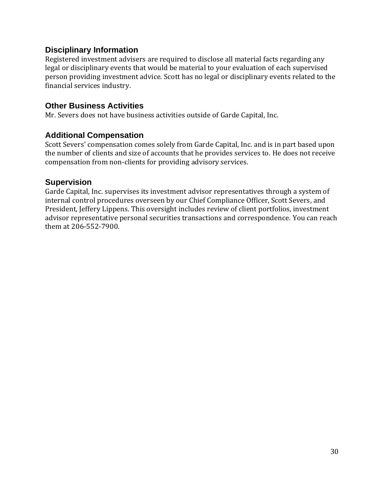## **Disciplinary Information**

Registered investment advisers are required to disclose all material facts regarding any legal or disciplinary events that would be material to your evaluation of each supervised person providing investment advice. Scott has no legal or disciplinary events related to the financial services industry.

### **Other Business Activities**

Mr. Severs does not have business activities outside of Garde Capital, Inc.

## **Additional Compensation**

Scott Severs' compensation comes solely from Garde Capital, Inc. and is in part based upon the number of clients and size of accounts that he provides services to. He does not receive compensation from non-clients for providing advisory services.

## **Supervision**

Garde Capital, Inc. supervises its investment advisor representatives through a system of internal control procedures overseen by our Chief Compliance Officer, Scott Severs, and President, Jeffery Lippens. This oversight includes review of client portfolios, investment advisor representative personal securities transactions and correspondence. You can reach them at 206-552-7900.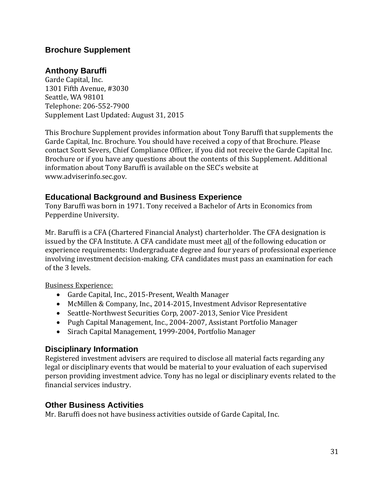## **Anthony Baruffi**

Garde Capital, Inc. 1301 Fifth Avenue, #3030 Seattle, WA 98101 Telephone: 206-552-7900 Supplement Last Updated: August 31, 2015

This Brochure Supplement provides information about Tony Baruffi that supplements the Garde Capital, Inc. Brochure. You should have received a copy of that Brochure. Please contact Scott Severs, Chief Compliance Officer, if you did not receive the Garde Capital Inc. Brochure or if you have any questions about the contents of this Supplement. Additional information about Tony Baruffi is available on the SEC's website at [www.adviserinfo.sec.gov.](http://www.adviserinfo.sec.gov/)

## **Educational Background and Business Experience**

Tony Baruffi was born in 1971. Tony received a Bachelor of Arts in Economics from Pepperdine University.

Mr. Baruffi is a CFA (Chartered Financial Analyst) charterholder. The CFA designation is issued by the CFA Institute. A CFA candidate must meet all of the following education or experience requirements: Undergraduate degree and four years of professional experience involving investment decision-making. CFA candidates must pass an examination for each of the 3 levels.

Business Experience:

- Garde Capital, Inc., 2015-Present, Wealth Manager
- McMillen & Company, Inc., 2014-2015, Investment Advisor Representative
- Seattle-Northwest Securities Corp, 2007-2013, Senior Vice President
- Pugh Capital Management, Inc., 2004-2007, Assistant Portfolio Manager
- Sirach Capital Management, 1999-2004, Portfolio Manager

#### **Disciplinary Information**

Registered investment advisers are required to disclose all material facts regarding any legal or disciplinary events that would be material to your evaluation of each supervised person providing investment advice. Tony has no legal or disciplinary events related to the financial services industry.

#### **Other Business Activities**

Mr. Baruffi does not have business activities outside of Garde Capital, Inc.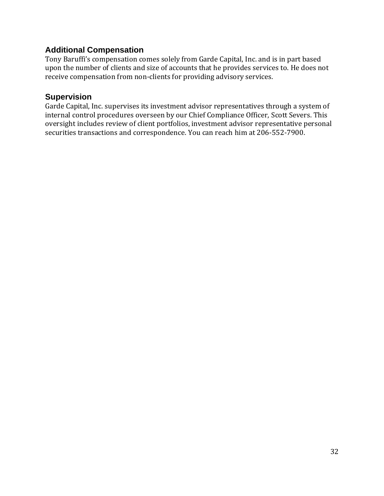## **Additional Compensation**

Tony Baruffi's compensation comes solely from Garde Capital, Inc. and is in part based upon the number of clients and size of accounts that he provides services to. He does not receive compensation from non-clients for providing advisory services.

#### **Supervision**

Garde Capital, Inc. supervises its investment advisor representatives through a system of internal control procedures overseen by our Chief Compliance Officer, Scott Severs. This oversight includes review of client portfolios, investment advisor representative personal securities transactions and correspondence. You can reach him at 206-552-7900.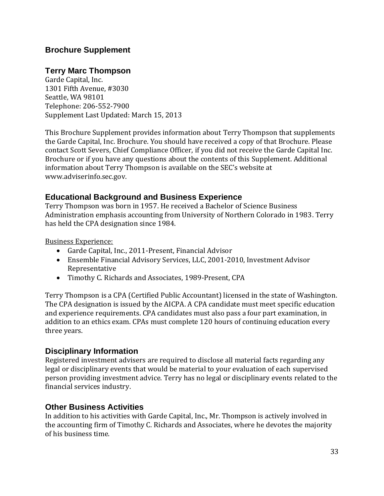## **Terry Marc Thompson**

Garde Capital, Inc. 1301 Fifth Avenue, #3030 Seattle, WA 98101 Telephone: 206-552-7900 Supplement Last Updated: March 15, 2013

This Brochure Supplement provides information about Terry Thompson that supplements the Garde Capital, Inc. Brochure. You should have received a copy of that Brochure. Please contact Scott Severs, Chief Compliance Officer, if you did not receive the Garde Capital Inc. Brochure or if you have any questions about the contents of this Supplement. Additional information about Terry Thompson is available on the SEC's website at [www.adviserinfo.sec.gov.](http://www.adviserinfo.sec.gov/)

## **Educational Background and Business Experience**

Terry Thompson was born in 1957. He received a Bachelor of Science Business Administration emphasis accounting from University of Northern Colorado in 1983. Terry has held the CPA designation since 1984.

Business Experience:

- Garde Capital, Inc., 2011-Present, Financial Advisor
- Ensemble Financial Advisory Services, LLC, 2001-2010, Investment Advisor Representative
- Timothy C. Richards and Associates, 1989-Present, CPA

Terry Thompson is a CPA (Certified Public Accountant) licensed in the state of Washington. The CPA designation is issued by the AICPA. A CPA candidate must meet specific education and experience requirements. CPA candidates must also pass a four part examination, in addition to an ethics exam. CPAs must complete 120 hours of continuing education every three years.

#### **Disciplinary Information**

Registered investment advisers are required to disclose all material facts regarding any legal or disciplinary events that would be material to your evaluation of each supervised person providing investment advice. Terry has no legal or disciplinary events related to the financial services industry.

## **Other Business Activities**

In addition to his activities with Garde Capital, Inc., Mr. Thompson is actively involved in the accounting firm of Timothy C. Richards and Associates, where he devotes the majority of his business time.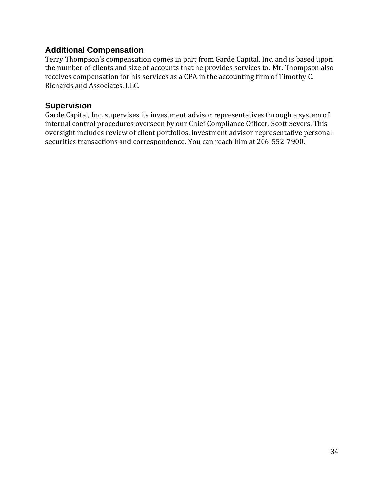## **Additional Compensation**

Terry Thompson's compensation comes in part from Garde Capital, Inc. and is based upon the number of clients and size of accounts that he provides services to. Mr. Thompson also receives compensation for his services as a CPA in the accounting firm of Timothy C. Richards and Associates, LLC.

#### **Supervision**

Garde Capital, Inc. supervises its investment advisor representatives through a system of internal control procedures overseen by our Chief Compliance Officer, Scott Severs. This oversight includes review of client portfolios, investment advisor representative personal securities transactions and correspondence. You can reach him at 206-552-7900.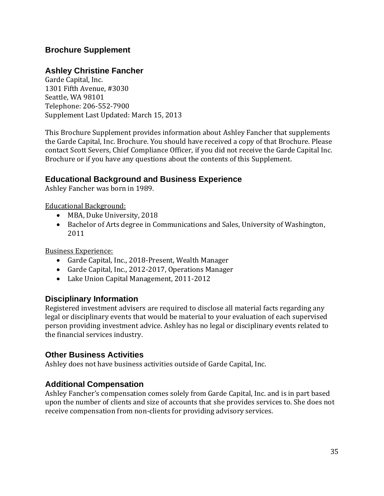## **Ashley Christine Fancher**

Garde Capital, Inc. 1301 Fifth Avenue, #3030 Seattle, WA 98101 Telephone: 206-552-7900 Supplement Last Updated: March 15, 2013

This Brochure Supplement provides information about Ashley Fancher that supplements the Garde Capital, Inc. Brochure. You should have received a copy of that Brochure. Please contact Scott Severs, Chief Compliance Officer, if you did not receive the Garde Capital Inc. Brochure or if you have any questions about the contents of this Supplement.

#### **Educational Background and Business Experience**

Ashley Fancher was born in 1989.

Educational Background:

- MBA, Duke University, 2018
- Bachelor of Arts degree in Communications and Sales, University of Washington, 2011

Business Experience:

- Garde Capital, Inc., 2018-Present, Wealth Manager
- Garde Capital, Inc., 2012-2017, Operations Manager
- Lake Union Capital Management, 2011-2012

#### **Disciplinary Information**

Registered investment advisers are required to disclose all material facts regarding any legal or disciplinary events that would be material to your evaluation of each supervised person providing investment advice. Ashley has no legal or disciplinary events related to the financial services industry.

#### **Other Business Activities**

Ashley does not have business activities outside of Garde Capital, Inc.

#### **Additional Compensation**

Ashley Fancher's compensation comes solely from Garde Capital, Inc. and is in part based upon the number of clients and size of accounts that she provides services to. She does not receive compensation from non-clients for providing advisory services.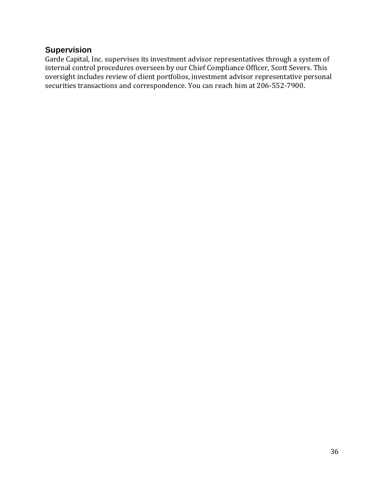## **Supervision**

Garde Capital, Inc. supervises its investment advisor representatives through a system of internal control procedures overseen by our Chief Compliance Officer, Scott Severs. This oversight includes review of client portfolios, investment advisor representative personal securities transactions and correspondence. You can reach him at 206-552-7900.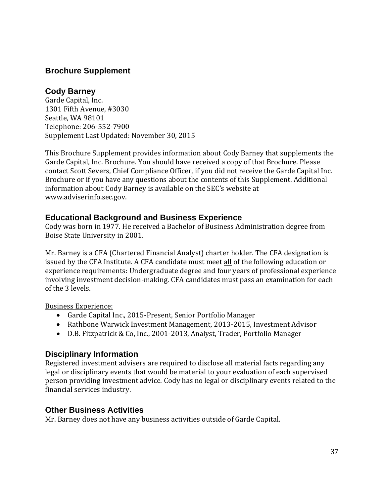## **Cody Barney**

Garde Capital, Inc. 1301 Fifth Avenue, #3030 Seattle, WA 98101 Telephone: 206-552-7900 Supplement Last Updated: November 30, 2015

This Brochure Supplement provides information about Cody Barney that supplements the Garde Capital, Inc. Brochure. You should have received a copy of that Brochure. Please contact Scott Severs, Chief Compliance Officer, if you did not receive the Garde Capital Inc. Brochure or if you have any questions about the contents of this Supplement. Additional information about Cody Barney is available on the SEC's website at [www.adviserinfo.sec.gov.](http://www.adviserinfo.sec.gov/)

## **Educational Background and Business Experience**

Cody was born in 1977. He received a Bachelor of Business Administration degree from Boise State University in 2001.

Mr. Barney is a CFA (Chartered Financial Analyst) charter holder. The CFA designation is issued by the CFA Institute. A CFA candidate must meet all of the following education or experience requirements: Undergraduate degree and four years of professional experience involving investment decision-making. CFA candidates must pass an examination for each of the 3 levels.

Business Experience:

- Garde Capital Inc., 2015-Present, Senior Portfolio Manager
- Rathbone Warwick Investment Management, 2013-2015, Investment Advisor
- D.B. Fitzpatrick & Co, Inc., 2001-2013, Analyst, Trader, Portfolio Manager

## **Disciplinary Information**

Registered investment advisers are required to disclose all material facts regarding any legal or disciplinary events that would be material to your evaluation of each supervised person providing investment advice. Cody has no legal or disciplinary events related to the financial services industry.

## **Other Business Activities**

Mr. Barney does not have any business activities outside of Garde Capital.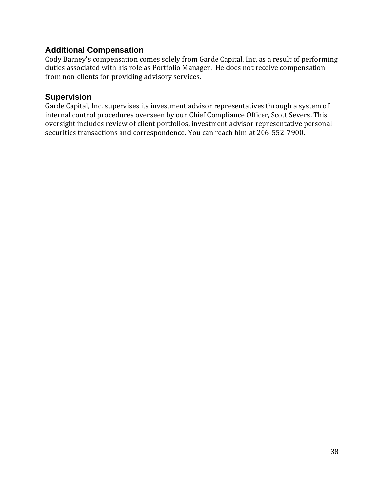## **Additional Compensation**

Cody Barney's compensation comes solely from Garde Capital, Inc. as a result of performing duties associated with his role as Portfolio Manager. He does not receive compensation from non-clients for providing advisory services.

#### **Supervision**

Garde Capital, Inc. supervises its investment advisor representatives through a system of internal control procedures overseen by our Chief Compliance Officer, Scott Severs. This oversight includes review of client portfolios, investment advisor representative personal securities transactions and correspondence. You can reach him at 206-552-7900.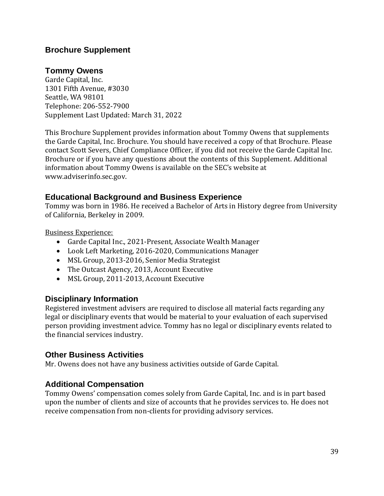## **Tommy Owens**

Garde Capital, Inc. 1301 Fifth Avenue, #3030 Seattle, WA 98101 Telephone: 206-552-7900 Supplement Last Updated: March 31, 2022

This Brochure Supplement provides information about Tommy Owens that supplements the Garde Capital, Inc. Brochure. You should have received a copy of that Brochure. Please contact Scott Severs, Chief Compliance Officer, if you did not receive the Garde Capital Inc. Brochure or if you have any questions about the contents of this Supplement. Additional information about Tommy Owens is available on the SEC's website at [www.adviserinfo.sec.gov.](http://www.adviserinfo.sec.gov/)

## **Educational Background and Business Experience**

Tommy was born in 1986. He received a Bachelor of Arts in History degree from University of California, Berkeley in 2009.

Business Experience:

- Garde Capital Inc., 2021-Present, Associate Wealth Manager
- Look Left Marketing, 2016-2020, Communications Manager
- MSL Group, 2013-2016, Senior Media Strategist
- The Outcast Agency, 2013, Account Executive
- MSL Group, 2011-2013, Account Executive

#### **Disciplinary Information**

Registered investment advisers are required to disclose all material facts regarding any legal or disciplinary events that would be material to your evaluation of each supervised person providing investment advice. Tommy has no legal or disciplinary events related to the financial services industry.

## **Other Business Activities**

Mr. Owens does not have any business activities outside of Garde Capital.

## **Additional Compensation**

Tommy Owens' compensation comes solely from Garde Capital, Inc. and is in part based upon the number of clients and size of accounts that he provides services to. He does not receive compensation from non-clients for providing advisory services.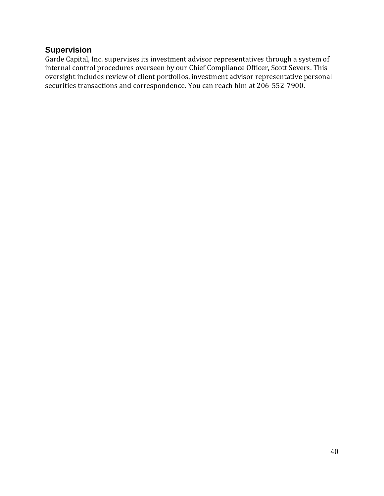## **Supervision**

Garde Capital, Inc. supervises its investment advisor representatives through a system of internal control procedures overseen by our Chief Compliance Officer, Scott Severs. This oversight includes review of client portfolios, investment advisor representative personal securities transactions and correspondence. You can reach him at 206-552-7900.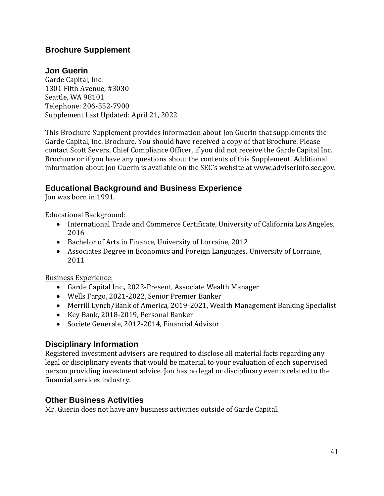## **Jon Guerin**

Garde Capital, Inc. 1301 Fifth Avenue, #3030 Seattle, WA 98101 Telephone: 206-552-7900 Supplement Last Updated: April 21, 2022

This Brochure Supplement provides information about Jon Guerin that supplements the Garde Capital, Inc. Brochure. You should have received a copy of that Brochure. Please contact Scott Severs, Chief Compliance Officer, if you did not receive the Garde Capital Inc. Brochure or if you have any questions about the contents of this Supplement. Additional information about Jon Guerin is available on the SEC's website at [www.adviserinfo.sec.gov.](http://www.adviserinfo.sec.gov/)

## **Educational Background and Business Experience**

Jon was born in 1991.

Educational Background:

- International Trade and Commerce Certificate, University of California Los Angeles, 2016
- Bachelor of Arts in Finance, University of Lorraine, 2012
- Associates Degree in Economics and Foreign Languages, University of Lorraine, 2011

Business Experience:

- Garde Capital Inc., 2022-Present, Associate Wealth Manager
- Wells Fargo, 2021-2022, Senior Premier Banker
- Merrill Lynch/Bank of America, 2019-2021, Wealth Management Banking Specialist
- Key Bank, 2018-2019, Personal Banker
- Societe Generale, 2012-2014, Financial Advisor

## **Disciplinary Information**

Registered investment advisers are required to disclose all material facts regarding any legal or disciplinary events that would be material to your evaluation of each supervised person providing investment advice. Jon has no legal or disciplinary events related to the financial services industry.

## **Other Business Activities**

Mr. Guerin does not have any business activities outside of Garde Capital.